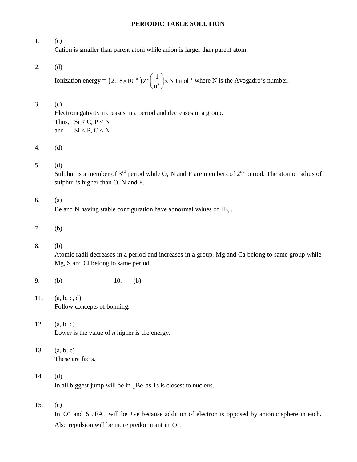## **PERIODIC TABLE SOLUTION**

1. (c) Cation is smaller than parent atom while anion is larger than parent atom.

2. (d)

Ionization energy =  $(2.18 \times 10^{-18})$   $Z^2$   $\frac{1}{2}$   $\times$  N J mol<sup>-1</sup> 2  $2.18\times10^{-18}$ ) $Z^2\left(\frac{1}{2}\right) \times$  N J mol n  $\times 10^{-18}$ ) $Z^2\left(\frac{1}{n^2}\right)$  × N J mol<sup>-1</sup> where N is the Avogadro's number.

## 3. (c)

Electronegativity increases in a period and decreases in a group. Thus,  $Si < C, P < N$ and  $\text{Si} < \text{P}, \text{C} < \text{N}$ 

4. (d)

5. (d)

Sulphur is a member of  $3<sup>rd</sup>$  period while O, N and F are members of  $2<sup>nd</sup>$  period. The atomic radius of sulphur is higher than O, N and F.

## 6. (a)

Be and N having stable configuration have abnormal values of  $IE_1$ .

- 7. (b)
- 8. (b)

Atomic radii decreases in a period and increases in a group. Mg and Ca belong to same group while Mg, S and Cl belong to same period.

- 9. (b) 10. (b)
- 11. (a, b, c, d) Follow concepts of bonding.
- 12. (a, b, c) Lower is the value of *n* higher is the energy.
- 13. (a, b, c) These are facts.
- 14. (d) In all biggest jump will be in  $_{4}$  Be as 1s is closest to nucleus.
- 15. (c)

In  $O^-$  and  $S^-$ , EA<sub>2</sub> will be +ve because addition of electron is opposed by anionic sphere in each. Also repulsion will be more predominant in O<sup>-</sup>.